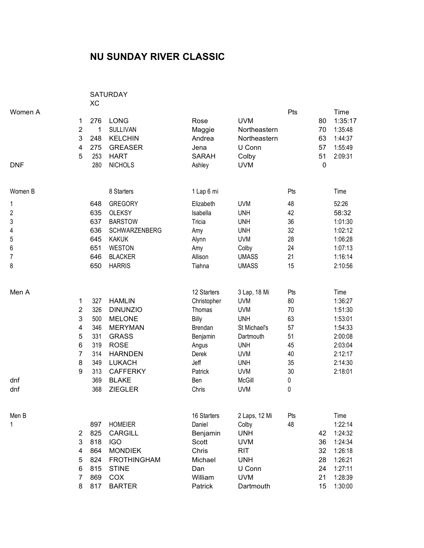## **NU SUNDAY RIVER CLASSIC**

|                                                                |                                                                 | <b>XC</b>                                                                 | <b>SATURDAY</b>                                                                                                                                                                            |                                                                                                                           |                                                                                                                                                                     |                                                                     |                                           |                                                                                                         |
|----------------------------------------------------------------|-----------------------------------------------------------------|---------------------------------------------------------------------------|--------------------------------------------------------------------------------------------------------------------------------------------------------------------------------------------|---------------------------------------------------------------------------------------------------------------------------|---------------------------------------------------------------------------------------------------------------------------------------------------------------------|---------------------------------------------------------------------|-------------------------------------------|---------------------------------------------------------------------------------------------------------|
| Women A<br><b>DNF</b>                                          | 1<br>$\overline{2}$<br>3<br>4<br>5                              | 276<br>1<br>248<br>275<br>253<br>280                                      | <b>LONG</b><br><b>SULLIVAN</b><br><b>KELCHIN</b><br><b>GREASER</b><br><b>HART</b><br><b>NICHOLS</b>                                                                                        | Rose<br>Maggie<br>Andrea<br>Jena<br><b>SARAH</b><br>Ashley                                                                | <b>UVM</b><br>Northeastern<br>Northeastern<br>U Conn<br>Colby<br><b>UVM</b>                                                                                         | Pts                                                                 | 80<br>70<br>63<br>57<br>51<br>$\mathbf 0$ | Time<br>1:35:17<br>1:35:48<br>1:44:37<br>1:55:49<br>2:09:31                                             |
| Women B                                                        |                                                                 |                                                                           | 8 Starters                                                                                                                                                                                 | 1 Lap 6 mi                                                                                                                |                                                                                                                                                                     | Pts                                                                 |                                           | Time                                                                                                    |
| 1<br>$\overline{2}$<br>3<br>4<br>5<br>6<br>$\overline{7}$<br>8 |                                                                 | 648<br>635<br>637<br>636<br>645<br>651<br>646<br>650                      | <b>GREGORY</b><br><b>OLEKSY</b><br><b>BARSTOW</b><br>SCHWARZENBERG<br><b>KAKUK</b><br><b>WESTON</b><br><b>BLACKER</b><br><b>HARRIS</b>                                                     | Elizabeth<br>Isabella<br>Tricia<br>Amy<br>Alynn<br>Amy<br>Allison<br>Tiahna                                               | <b>UVM</b><br><b>UNH</b><br><b>UNH</b><br><b>UNH</b><br><b>UVM</b><br>Colby<br><b>UMASS</b><br><b>UMASS</b>                                                         | 48<br>42<br>36<br>32<br>28<br>24<br>21<br>15                        |                                           | 52:26<br>58:32<br>1:01:30<br>1:02:12<br>1:06:28<br>1:07:13<br>1:16:14<br>2:10:56                        |
| Men A<br>dnf<br>dnf                                            | 1<br>$\overline{\mathbf{c}}$<br>3<br>4<br>5<br>6<br>7<br>8<br>9 | 327<br>326<br>500<br>346<br>331<br>319<br>314<br>349<br>313<br>369<br>368 | <b>HAMLIN</b><br><b>DINUNZIO</b><br><b>MELONE</b><br><b>MERYMAN</b><br><b>GRASS</b><br><b>ROSE</b><br><b>HARNDEN</b><br><b>LUKACH</b><br><b>CAFFERKY</b><br><b>BLAKE</b><br><b>ZIEGLER</b> | 12 Starters<br>Christopher<br>Thomas<br>Billy<br>Brendan<br>Benjamin<br>Angus<br>Derek<br>Jeff<br>Patrick<br>Ben<br>Chris | 3 Lap, 18 Mi<br><b>UVM</b><br><b>UVM</b><br><b>UNH</b><br>St Michael's<br>Dartmouth<br><b>UNH</b><br><b>UVM</b><br><b>UNH</b><br><b>UVM</b><br>McGill<br><b>UVM</b> | Pts<br>80<br>70<br>63<br>57<br>51<br>45<br>40<br>35<br>30<br>0<br>0 |                                           | Time<br>1:36:27<br>1:51:30<br>1:53:01<br>1:54:33<br>2:00:08<br>2:03:04<br>2:12:17<br>2:14:30<br>2:18:01 |
| Men B<br>1                                                     | $\overline{2}$<br>3<br>4<br>5<br>6<br>7<br>8                    | 897<br>825<br>818<br>864<br>824<br>815<br>869<br>817                      | <b>HOMEIER</b><br><b>CARGILL</b><br><b>IGO</b><br><b>MONDIEK</b><br><b>FROTHINGHAM</b><br><b>STINE</b><br>COX<br><b>BARTER</b>                                                             | 16 Starters<br>Daniel<br>Benjamin<br>Scott<br>Chris<br>Michael<br>Dan<br>William<br>Patrick                               | 2 Laps, 12 Mi<br>Colby<br><b>UNH</b><br><b>UVM</b><br><b>RIT</b><br><b>UNH</b><br>U Conn<br><b>UVM</b><br>Dartmouth                                                 | Pts<br>48                                                           | 42<br>36<br>32<br>28<br>24<br>21<br>15    | Time<br>1:22:14<br>1:24:32<br>1:24:34<br>1:26:18<br>1:26:21<br>1:27:11<br>1:28:39<br>1:30:00            |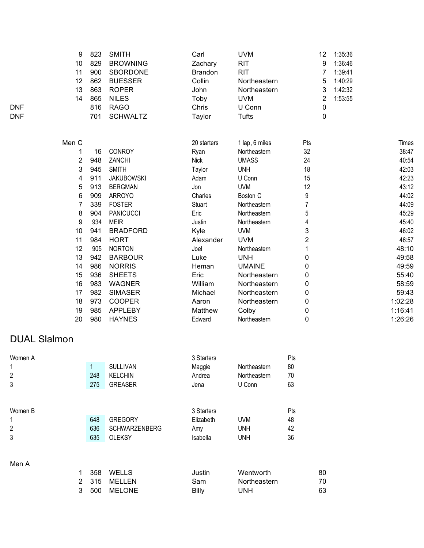|            | 9     | 823 | <b>SMITH</b>      | Carl           | <b>UVM</b>     | 12  | 1:35:36 |         |
|------------|-------|-----|-------------------|----------------|----------------|-----|---------|---------|
|            | 10    | 829 | <b>BROWNING</b>   | Zachary        | <b>RIT</b>     | 9   | 1:36:46 |         |
|            | 11    | 900 | <b>SBORDONE</b>   | <b>Brandon</b> | <b>RIT</b>     | 7   | 1:39:41 |         |
|            | 12    | 862 | <b>BUESSER</b>    | Collin         | Northeastern   | 5   | 1:40:29 |         |
|            | 13    | 863 | <b>ROPER</b>      | John           | Northeastern   | 3   | 1:42:32 |         |
|            | 14    | 865 | <b>NILES</b>      | Toby           | <b>UVM</b>     | 2   | 1:53:55 |         |
| <b>DNF</b> |       | 816 | <b>RAGO</b>       | Chris          | U Conn         | 0   |         |         |
| <b>DNF</b> |       | 701 | <b>SCHWALTZ</b>   | Taylor         | <b>Tufts</b>   | 0   |         |         |
|            | Men C |     |                   | 20 starters    | 1 lap, 6 miles | Pts |         | Times   |
|            |       | 16  | CONROY            | Ryan           | Northeastern   | 32  |         | 38:47   |
|            | 2     | 948 | ZANCHI            | <b>Nick</b>    | <b>UMASS</b>   | 24  |         | 40:54   |
|            | 3     | 945 | <b>SMITH</b>      | Taylor         | <b>UNH</b>     | 18  |         | 42:03   |
|            | 4     | 911 | <b>JAKUBOWSKI</b> | Adam           | U Conn         | 15  |         | 42:23   |
|            | 5     | 913 | <b>BERGMAN</b>    | Jon            | <b>UVM</b>     | 12  |         | 43:12   |
|            | 6     | 909 | <b>ARROYO</b>     | Charles        | Boston C       | 9   |         | 44:02   |
|            | 7     | 339 | <b>FOSTER</b>     | Stuart         | Northeastern   | 7   |         | 44:09   |
|            | 8     | 904 | <b>PANICUCCI</b>  | Eric           | Northeastern   | 5   |         | 45:29   |
|            | 9     | 934 | <b>MEIR</b>       | Justin         | Northeastern   | 4   |         | 45:40   |
|            | 10    | 941 | <b>BRADFORD</b>   | Kyle           | <b>UVM</b>     | 3   |         | 46:02   |
|            | 11    | 984 | <b>HORT</b>       | Alexander      | <b>UVM</b>     | 2   |         | 46:57   |
|            | 12    | 905 | <b>NORTON</b>     | Joel           | Northeastern   |     |         | 48:10   |
|            | 13    | 942 | <b>BARBOUR</b>    | Luke           | <b>UNH</b>     | 0   |         | 49:58   |
|            | 14    | 986 | <b>NORRIS</b>     | Heman          | <b>UMAINE</b>  | 0   |         | 49:59   |
|            | 15    | 936 | <b>SHEETS</b>     | Eric           | Northeastern   | 0   |         | 55:40   |
|            | 16    | 983 | <b>WAGNER</b>     | William        | Northeastern   | 0   |         | 58:59   |
|            | 17    | 982 | <b>SIMASER</b>    | Michael        | Northeastern   | 0   |         | 59:43   |
|            | 18    | 973 | <b>COOPER</b>     | Aaron          | Northeastern   | 0   |         | 1:02:28 |
|            | 19    | 985 | <b>APPLEBY</b>    | Matthew        | Colby          | 0   |         | 1:16:41 |
|            | 20    | 980 | <b>HAYNES</b>     | Edward         | Northeastern   | 0   |         | 1:26:26 |

## DUAL Slalmon

| Women A        |     |                      | 3 Starters |              | Pts |
|----------------|-----|----------------------|------------|--------------|-----|
|                |     | <b>SULLIVAN</b>      | Maggie     | Northeastern | 80  |
| $\overline{2}$ | 248 | <b>KELCHIN</b>       | Andrea     | Northeastern | 70  |
| 3              | 275 | <b>GREASER</b>       | Jena       | U Conn       | 63  |
|                |     |                      |            |              |     |
|                |     |                      |            |              |     |
| Women B        |     |                      | 3 Starters |              | Pts |
|                | 648 | <b>GREGORY</b>       | Elizabeth  | <b>UVM</b>   | 48  |
| $\overline{2}$ | 636 | <b>SCHWARZENBERG</b> | Amy        | <b>UNH</b>   | 42  |
| 3              | 635 | <b>OLEKSY</b>        | Isabella   | <b>UNH</b>   | 36  |
|                |     |                      |            |              |     |

## Men A

|  | 358 WELLS    | Justin | Wentworth           | 80 |
|--|--------------|--------|---------------------|----|
|  | 2 315 MELLEN | Sam    | <b>Northeastern</b> | 70 |
|  | 3 500 MELONE | Billy  | UNH                 | 63 |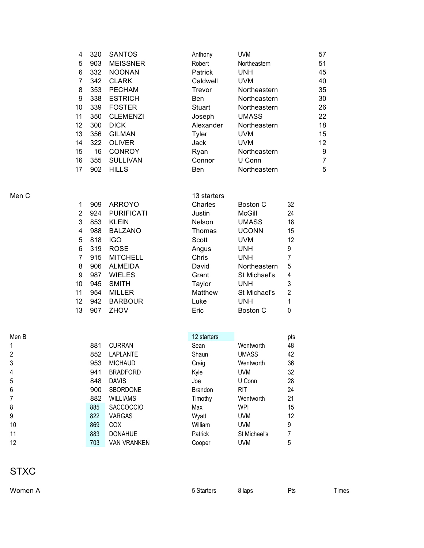| 4  | 320 | <b>SANTOS</b>   | Anthony        | <b>UVM</b>   | 57 |
|----|-----|-----------------|----------------|--------------|----|
| 5  | 903 | <b>MEISSNER</b> | Robert         | Northeastern | 51 |
| 6  | 332 | <b>NOONAN</b>   | <b>Patrick</b> | <b>UNH</b>   | 45 |
| 7  | 342 | <b>CLARK</b>    | Caldwell       | <b>UVM</b>   | 40 |
| 8  | 353 | <b>PECHAM</b>   | Trevor         | Northeastern | 35 |
| 9  | 338 | <b>ESTRICH</b>  | Ben            | Northeastern | 30 |
| 10 | 339 | <b>FOSTER</b>   | Stuart         | Northeastern | 26 |
| 11 | 350 | <b>CLEMENZI</b> | Joseph         | <b>UMASS</b> | 22 |
| 12 | 300 | <b>DICK</b>     | Alexander      | Northeastern | 18 |
| 13 | 356 | <b>GILMAN</b>   | Tyler          | <b>UVM</b>   | 15 |
| 14 | 322 | <b>OLIVER</b>   | Jack           | <b>UVM</b>   | 12 |
| 15 | 16  | <b>CONROY</b>   | Ryan           | Northeastern | 9  |
| 16 | 355 | <b>SULLIVAN</b> | Connor         | U Conn       | 7  |
| 17 | 902 | <b>HILLS</b>    | <b>Ben</b>     | Northeastern | 5  |
|    |     |                 |                |              |    |

| Men C |    |     |                   | 13 starters   |              |     |
|-------|----|-----|-------------------|---------------|--------------|-----|
|       | 1  | 909 | <b>ARROYO</b>     | Charles       | Boston C     | 32  |
|       | 2  | 924 | <b>PURIFICATI</b> | Justin        | McGill       | 24  |
|       | 3  | 853 | <b>KLEIN</b>      | <b>Nelson</b> | UMASS        | 18  |
|       | 4  | 988 | <b>BALZANO</b>    | Thomas        | <b>UCONN</b> | 15  |
|       | 5  | 818 | <b>IGO</b>        | Scott         | <b>UVM</b>   | 12  |
|       | 6  | 319 | <b>ROSE</b>       | Angus         | UNH          | 9   |
|       | 7  | 915 | <b>MITCHELL</b>   | Chris         | <b>UNH</b>   | 7   |
|       | 8  | 906 | <b>ALMEIDA</b>    | David         | Northeastern | 5   |
|       | 9  | 987 | <b>WIELES</b>     | Grant         | St Michael's | 4   |
|       | 10 | 945 | <b>SMITH</b>      | Taylor        | UNH          | 3   |
|       | 11 | 954 | <b>MILLER</b>     | Matthew       | St Michael's | 2   |
|       | 12 | 942 | <b>BARBOUR</b>    | Luke          | <b>UNH</b>   |     |
|       | 13 | 907 | <b>ZHOV</b>       | Eric          | Boston C     | 0   |
|       |    |     |                   |               |              |     |
| Men B |    |     |                   | 12 starters   |              | pts |

|                | 881 | <b>CURRAN</b>      | Sean           | Wentworth    | 48 |
|----------------|-----|--------------------|----------------|--------------|----|
| $\overline{2}$ | 852 | LAPLANTE           | Shaun          | <b>UMASS</b> | 42 |
| 3              | 953 | <b>MICHAUD</b>     | Craig          | Wentworth    | 36 |
| 4              | 941 | <b>BRADFORD</b>    | Kyle           | <b>UVM</b>   | 32 |
| 5              | 848 | <b>DAVIS</b>       | Joe            | U Conn       | 28 |
| 6              | 900 | SBORDONE           | <b>Brandon</b> | <b>RIT</b>   | 24 |
|                | 882 | <b>WILLIAMS</b>    | Timothy        | Wentworth    | 21 |
| 8              | 885 | <b>SACCOCCIO</b>   | Max            | <b>WPI</b>   | 15 |
| 9              | 822 | <b>VARGAS</b>      | Wyatt          | <b>UVM</b>   | 12 |
| 10             | 869 | <b>COX</b>         | William        | <b>UVM</b>   | 9  |
| 11             | 883 | <b>DONAHUE</b>     | Patrick        | St Michael's | 7  |
| 12             | 703 | <b>VAN VRANKEN</b> | Cooper         | <b>UVM</b>   | 5  |
|                |     |                    |                |              |    |

| <b>STXC</b> |  |
|-------------|--|
| 111.1       |  |

| Women A | Pts<br>5 Starters<br>8 laps<br>Гimes |
|---------|--------------------------------------|
|---------|--------------------------------------|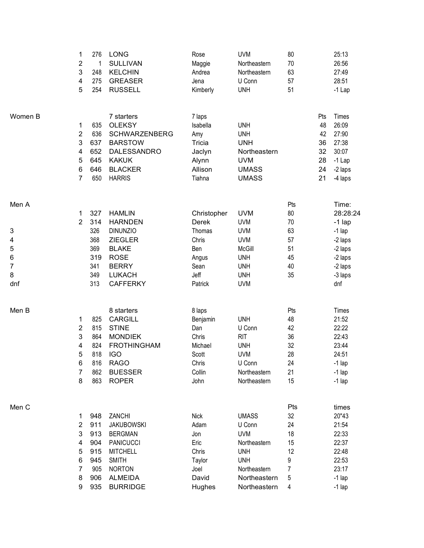|         | 1<br>$\overline{2}$<br>3<br>4<br>5           | 276<br>1<br>248<br>275<br>254                 | <b>LONG</b><br><b>SULLIVAN</b><br><b>KELCHIN</b><br><b>GREASER</b><br><b>RUSSELL</b>                                                    | Rose<br>Maggie<br>Andrea<br>Jena<br>Kimberly                                | <b>UVM</b><br>Northeastern<br>Northeastern<br>U Conn<br><b>UNH</b>                                   | 80<br>70<br>63<br>57<br>51 |                                               | 25:13<br>26:56<br>27:49<br>28:51<br>$-1$ Lap                                |
|---------|----------------------------------------------|-----------------------------------------------|-----------------------------------------------------------------------------------------------------------------------------------------|-----------------------------------------------------------------------------|------------------------------------------------------------------------------------------------------|----------------------------|-----------------------------------------------|-----------------------------------------------------------------------------|
| Women B | 1<br>$\overline{2}$<br>3<br>4<br>5<br>6<br>7 | 635<br>636<br>637<br>652<br>645<br>646<br>650 | 7 starters<br><b>OLEKSY</b><br><b>SCHWARZENBERG</b><br><b>BARSTOW</b><br>DALESSANDRO<br><b>KAKUK</b><br><b>BLACKER</b><br><b>HARRIS</b> | 7 laps<br>Isabella<br>Amy<br>Tricia<br>Jaclyn<br>Alynn<br>Allison<br>Tiahna | <b>UNH</b><br><b>UNH</b><br><b>UNH</b><br>Northeastern<br><b>UVM</b><br><b>UMASS</b><br><b>UMASS</b> |                            | Pts<br>48<br>42<br>36<br>32<br>28<br>24<br>21 | Times<br>26:09<br>27:90<br>27:38<br>30:07<br>$-1$ Lap<br>-2 laps<br>-4 laps |
| Men A   |                                              |                                               |                                                                                                                                         |                                                                             |                                                                                                      | Pts                        |                                               | Time:                                                                       |
|         | 1                                            | 327                                           | <b>HAMLIN</b>                                                                                                                           | Christopher                                                                 | <b>UVM</b>                                                                                           | 80                         |                                               | 28:28:24                                                                    |
|         | $\overline{2}$                               | 314                                           | <b>HARNDEN</b>                                                                                                                          | Derek                                                                       | <b>UVM</b>                                                                                           | 70                         |                                               | $-1$ lap                                                                    |
| 3<br>4  |                                              | 326<br>368                                    | <b>DINUNZIO</b><br><b>ZIEGLER</b>                                                                                                       | Thomas<br>Chris                                                             | <b>UVM</b><br><b>UVM</b>                                                                             | 63<br>57                   |                                               | $-1$ lap<br>-2 laps                                                         |
| 5       |                                              | 369                                           | <b>BLAKE</b>                                                                                                                            | Ben                                                                         | McGill                                                                                               | 51                         |                                               | -2 laps                                                                     |
| 6       |                                              | 319                                           | <b>ROSE</b>                                                                                                                             | Angus                                                                       | <b>UNH</b>                                                                                           | 45                         |                                               | -2 laps                                                                     |
| 7       |                                              | 341                                           | <b>BERRY</b>                                                                                                                            | Sean                                                                        | <b>UNH</b>                                                                                           | 40                         |                                               | -2 laps                                                                     |
| 8       |                                              | 349                                           | <b>LUKACH</b>                                                                                                                           | Jeff                                                                        | <b>UNH</b>                                                                                           | 35                         |                                               | -3 laps                                                                     |
| dnf     |                                              | 313                                           | <b>CAFFERKY</b>                                                                                                                         | Patrick                                                                     | <b>UVM</b>                                                                                           |                            |                                               | dnf                                                                         |
| Men B   |                                              |                                               | 8 starters                                                                                                                              | 8 laps                                                                      |                                                                                                      | Pts                        |                                               | Times                                                                       |
|         | 1                                            | 825                                           | <b>CARGILL</b>                                                                                                                          | Benjamin                                                                    | <b>UNH</b>                                                                                           | 48                         |                                               | 21:52                                                                       |
|         | 2                                            | 815                                           | <b>STINE</b>                                                                                                                            | Dan                                                                         | U Conn                                                                                               | 42                         |                                               | 22:22                                                                       |
|         | 3                                            | 864                                           | <b>MONDIEK</b>                                                                                                                          | Chris                                                                       | <b>RIT</b>                                                                                           | 36                         |                                               | 22:43                                                                       |
|         | 4                                            | 824                                           | <b>FROTHINGHAM</b>                                                                                                                      | Michael                                                                     | <b>UNH</b>                                                                                           | 32                         |                                               | 23:44                                                                       |
|         | 5                                            | 818                                           | <b>IGO</b>                                                                                                                              | Scott                                                                       | <b>UVM</b>                                                                                           | 28                         |                                               | 24:51                                                                       |
|         | 6                                            | 816                                           | <b>RAGO</b>                                                                                                                             | Chris                                                                       | U Conn                                                                                               | 24                         |                                               | $-1$ lap                                                                    |
|         | $\overline{7}$                               | 862                                           | <b>BUESSER</b>                                                                                                                          | Collin                                                                      | Northeastern                                                                                         | 21                         |                                               | $-1$ lap                                                                    |
|         | 8                                            | 863                                           | <b>ROPER</b>                                                                                                                            | John                                                                        | Northeastern                                                                                         | 15                         |                                               | $-1$ lap                                                                    |
| Men C   |                                              |                                               |                                                                                                                                         |                                                                             |                                                                                                      | Pts                        |                                               | times                                                                       |
|         | 1                                            | 948                                           | ZANCHI                                                                                                                                  | <b>Nick</b>                                                                 | <b>UMASS</b>                                                                                         | 32                         |                                               | 20"43                                                                       |
|         | 2                                            | 911                                           | <b>JAKUBOWSKI</b>                                                                                                                       | Adam                                                                        | U Conn                                                                                               | 24                         |                                               | 21:54                                                                       |
|         | 3                                            | 913                                           | <b>BERGMAN</b>                                                                                                                          | Jon                                                                         | <b>UVM</b>                                                                                           | 18                         |                                               | 22:33                                                                       |
|         | 4                                            | 904                                           | <b>PANICUCCI</b>                                                                                                                        | Eric                                                                        | Northeastern                                                                                         | 15                         |                                               | 22:37                                                                       |
|         | 5                                            | 915                                           | <b>MITCHELL</b>                                                                                                                         | Chris                                                                       | <b>UNH</b>                                                                                           | 12                         |                                               | 22:48                                                                       |
|         | 6                                            | 945                                           | <b>SMITH</b>                                                                                                                            | Taylor                                                                      | <b>UNH</b>                                                                                           | 9                          |                                               | 22:53                                                                       |
|         | 7                                            | 905                                           | <b>NORTON</b>                                                                                                                           | Joel                                                                        | Northeastern                                                                                         | $\overline{7}$             |                                               | 23:17                                                                       |
|         | 8                                            | 906                                           | <b>ALMEIDA</b>                                                                                                                          | David                                                                       | Northeastern                                                                                         | 5                          |                                               | $-1$ lap                                                                    |
|         | 9                                            | 935                                           | <b>BURRIDGE</b>                                                                                                                         | Hughes                                                                      | Northeastern                                                                                         | 4                          |                                               | $-1$ lap                                                                    |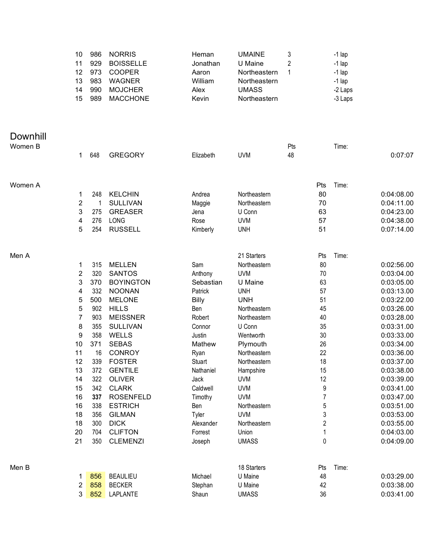|                     | 10<br>11<br>12<br>13<br>14<br>15 | 986<br>929<br>973<br>983<br>990<br>989 | <b>NORRIS</b><br><b>BOISSELLE</b><br><b>COOPER</b><br><b>WAGNER</b><br><b>MOJCHER</b><br><b>MACCHONE</b> | Heman<br>Jonathan<br>Aaron<br>William<br>Alex<br>Kevin | <b>UMAINE</b><br>U Maine<br>Northeastern<br>Northeastern<br><b>UMASS</b><br>Northeastern | 3<br>2<br>1 |          | $-1$ lap<br>$-1$ lap<br>$-1$ lap<br>$-1$ lap<br>-2 Laps<br>-3 Laps |                          |
|---------------------|----------------------------------|----------------------------------------|----------------------------------------------------------------------------------------------------------|--------------------------------------------------------|------------------------------------------------------------------------------------------|-------------|----------|--------------------------------------------------------------------|--------------------------|
| Downhill<br>Women B | 1.                               | 648                                    | <b>GREGORY</b>                                                                                           | Elizabeth                                              | <b>UVM</b>                                                                               | Pts<br>48   |          | Time:                                                              | 0:07:07                  |
| Women A             |                                  |                                        |                                                                                                          |                                                        |                                                                                          |             | Pts      | Time:                                                              |                          |
|                     | 1<br>$\overline{\mathbf{c}}$     | 248<br>$\overline{1}$                  | <b>KELCHIN</b><br><b>SULLIVAN</b>                                                                        | Andrea                                                 | Northeastern<br>Northeastern                                                             |             | 80<br>70 |                                                                    | 0:04:08.00<br>0:04:11.00 |
|                     | 3                                | 275                                    | <b>GREASER</b>                                                                                           | Maggie<br>Jena                                         | U Conn                                                                                   |             | 63       |                                                                    | 0:04:23.00               |
|                     | 4                                | 276                                    | LONG                                                                                                     | Rose                                                   | <b>UVM</b>                                                                               |             | 57       |                                                                    | 0:04:38.00               |
|                     | 5                                | 254                                    | <b>RUSSELL</b>                                                                                           | Kimberly                                               | <b>UNH</b>                                                                               |             | 51       |                                                                    | 0:07:14.00               |
| Men A               |                                  |                                        |                                                                                                          |                                                        | 21 Starters                                                                              |             | Pts      | Time:                                                              |                          |
|                     | 1                                | 315                                    | <b>MELLEN</b>                                                                                            | Sam                                                    | Northeastern                                                                             |             | 80       |                                                                    | 0:02:56.00               |
|                     | $\overline{2}$                   | 320                                    | <b>SANTOS</b>                                                                                            | Anthony                                                | <b>UVM</b>                                                                               |             | 70       |                                                                    | 0:03:04.00               |
|                     | 3<br>4                           | 370<br>332                             | <b>BOYINGTON</b><br><b>NOONAN</b>                                                                        | Sebastian<br>Patrick                                   | U Maine<br><b>UNH</b>                                                                    |             | 63<br>57 |                                                                    | 0:03:05.00<br>0:03:13.00 |
|                     | 5                                | 500                                    | <b>MELONE</b>                                                                                            | <b>Billy</b>                                           | <b>UNH</b>                                                                               |             | 51       |                                                                    | 0:03:22.00               |
|                     | 5                                | 902                                    | <b>HILLS</b>                                                                                             | Ben                                                    | Northeastern                                                                             |             | 45       |                                                                    | 0:03:26.00               |
|                     | 7                                | 903                                    | <b>MEISSNER</b>                                                                                          | Robert                                                 | Northeastern                                                                             |             | 40       |                                                                    | 0:03:28.00               |
|                     | 8                                | 355                                    | <b>SULLIVAN</b>                                                                                          | Connor                                                 | U Conn                                                                                   |             | 35       |                                                                    | 0:03:31.00               |
|                     | 9                                | 358                                    | <b>WELLS</b>                                                                                             | Justin                                                 | Wentworth                                                                                |             | 30       |                                                                    | 0:03:33.00               |
|                     | 10                               | 371                                    | <b>SEBAS</b>                                                                                             | Mathew                                                 | Plymouth                                                                                 |             | 26       |                                                                    | 0:03:34.00               |
|                     | 11                               | 16                                     | <b>CONROY</b>                                                                                            | Ryan                                                   | Northeastern                                                                             |             | 22       |                                                                    | 0:03:36.00               |
|                     | 12<br>13                         | 339<br>372                             | <b>FOSTER</b><br><b>GENTILE</b>                                                                          | Stuart<br>Nathaniel                                    | Northeastern<br>Hampshire                                                                |             | 18<br>15 |                                                                    | 0:03:37.00<br>0:03:38.00 |
|                     | 14                               | 322                                    | <b>OLIVER</b>                                                                                            | Jack                                                   | <b>UVM</b>                                                                               |             | 12       |                                                                    | 0:03:39.00               |
|                     | 15                               | 342                                    | <b>CLARK</b>                                                                                             | Caldwell                                               | <b>UVM</b>                                                                               |             | 9        |                                                                    | 0:03:41.00               |
|                     | 16                               | 337                                    | <b>ROSENFELD</b>                                                                                         | Timothy                                                | <b>UVM</b>                                                                               |             | 7        |                                                                    | 0:03:47.00               |
|                     | 16                               | 338                                    | <b>ESTRICH</b>                                                                                           | Ben                                                    | Northeastern                                                                             |             | 5        |                                                                    | 0:03:51.00               |
|                     | 18                               | 356                                    | <b>GILMAN</b>                                                                                            | Tyler                                                  | <b>UVM</b>                                                                               |             | 3        |                                                                    | 0:03:53.00               |
|                     | 18                               | 300                                    | <b>DICK</b>                                                                                              | Alexander                                              | Northeastern                                                                             |             | 2        |                                                                    | 0:03:55.00               |
|                     | 20<br>21                         | 704<br>350                             | <b>CLIFTON</b><br><b>CLEMENZI</b>                                                                        | Forrest<br>Joseph                                      | Union<br><b>UMASS</b>                                                                    |             | 1<br>0   |                                                                    | 0:04:03.00<br>0:04:09.00 |
|                     |                                  |                                        |                                                                                                          |                                                        |                                                                                          |             |          |                                                                    |                          |
| Men B               |                                  |                                        |                                                                                                          |                                                        | 18 Starters                                                                              |             | Pts      | Time:                                                              |                          |
|                     | 1                                | 856                                    | <b>BEAULIEU</b>                                                                                          | Michael                                                | U Maine                                                                                  |             | 48       |                                                                    | 0:03:29.00               |
|                     | 2                                | 858                                    | <b>BECKER</b>                                                                                            | Stephan                                                | U Maine                                                                                  |             | 42       |                                                                    | 0:03:38.00               |
|                     | 3                                | 852                                    | LAPLANTE                                                                                                 | Shaun                                                  | <b>UMASS</b>                                                                             |             | 36       |                                                                    | 0:03:41.00               |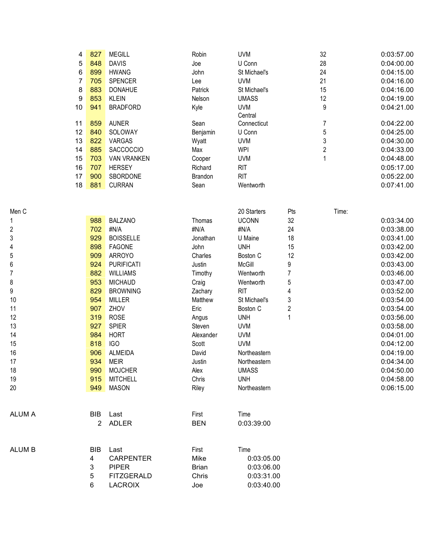| 4              | 827        | <b>MEGILL</b>            | Robin            | <b>UVM</b>            | 32             |       | 0:03:57.00               |
|----------------|------------|--------------------------|------------------|-----------------------|----------------|-------|--------------------------|
| 5              | 848        | <b>DAVIS</b>             | Joe              | U Conn                | 28             |       | 0:04:00.00               |
| 6              | 899        | <b>HWANG</b>             | John             | St Michael's          | 24             |       | 0:04:15.00               |
| $\overline{7}$ | 705        | SPENCER                  | Lee              | <b>UVM</b>            | 21             |       | 0:04:16.00               |
| 8              | 883        | <b>DONAHUE</b>           | Patrick          | St Michael's          | 15             |       | 0:04:16.00               |
| 9              | 853        | <b>KLEIN</b>             | Nelson           | <b>UMASS</b>          | 12             |       | 0:04:19.00               |
| 10             | 941        | <b>BRADFORD</b>          | Kyle             | <b>UVM</b>            | 9              |       | 0:04:21.00               |
|                |            |                          |                  | Central               |                |       |                          |
| 11             | 859        | <b>AUNER</b>             | Sean             | Connecticut           | $\overline{7}$ |       | 0:04:22.00               |
| 12             | 840        | SOLOWAY                  | Benjamin         | U Conn                | 5              |       | 0:04:25.00               |
| 13             | 822        | VARGAS                   | Wyatt            | <b>UVM</b>            | 3              |       | 0:04:30.00               |
| 14             | 885        | SACCOCCIO                | Max              | <b>WPI</b>            | $\overline{c}$ |       | 0:04:33.00               |
| 15             | 703        | <b>VAN VRANKEN</b>       | Cooper           | <b>UVM</b>            | $\mathbf{1}$   |       | 0:04:48.00               |
| 16             | 707        | <b>HERSEY</b>            | Richard          | <b>RIT</b>            |                |       | 0:05:17.00               |
| 17             | 900        | SBORDONE                 | Brandon          | <b>RIT</b>            |                |       | 0:05:22.00               |
| 18             | 881        | <b>CURRAN</b>            | Sean             | Wentworth             |                |       | 0:07:41.00               |
|                |            |                          |                  |                       |                |       |                          |
|                |            |                          |                  |                       |                |       |                          |
|                |            |                          |                  | 20 Starters           | Pts            | Time: |                          |
|                | 988        | <b>BALZANO</b>           | Thomas           | <b>UCONN</b>          | 32<br>24       |       | 0:03:34.00               |
|                | 702<br>929 | #N/A<br><b>BOISSELLE</b> | #N/A             | #N/A                  |                |       | 0:03:38.00               |
|                | 898        | <b>FAGONE</b>            | Jonathan<br>John | U Maine<br><b>UNH</b> | 18<br>15       |       | 0:03:41.00<br>0:03:42.00 |
|                | 909        | <b>ARROYO</b>            | Charles          | Boston C              | 12             |       | 0:03:42.00               |
|                | 924        | <b>PURIFICATI</b>        | Justin           | McGill                | 9              |       | 0:03:43.00               |
|                | 882        | <b>WILLIAMS</b>          | Timothy          | Wentworth             | $\overline{7}$ |       | 0:03:46.00               |
|                | 953        | <b>MICHAUD</b>           | Craig            | Wentworth             | 5              |       | 0:03:47.00               |
|                | 829        | <b>BROWNING</b>          | Zachary          | <b>RIT</b>            | 4              |       | 0:03:52.00               |
|                | 954        | <b>MILLER</b>            | Matthew          | St Michael's          | 3              |       | 0:03:54.00               |
|                | 907        | ZHOV                     | Eric             | Boston C              | $\overline{2}$ |       | 0:03:54.00               |
|                | 319        | <b>ROSE</b>              | Angus            | <b>UNH</b>            | 1              |       | 0:03:56.00               |
|                | 927        | <b>SPIER</b>             | Steven           | <b>UVM</b>            |                |       | 0:03:58.00               |
|                | 984        | <b>HORT</b>              | Alexander        | <b>UVM</b>            |                |       | 0:04:01.00               |
|                | 818        | <b>IGO</b>               | Scott            | <b>UVM</b>            |                |       | 0:04:12.00               |
|                | 906        | <b>ALMEIDA</b>           | David            | Northeastern          |                |       | 0:04:19.00               |
|                | 934        | <b>MEIR</b>              | Justin           | Northeastern          |                |       | 0:04:34.00               |
|                | 990        | <b>MOJCHER</b>           | Alex             | <b>UMASS</b>          |                |       | 0:04:50.00               |
|                | 915        | <b>MITCHELL</b>          | Chris            | <b>UNH</b>            |                |       | 0:04:58.00               |
|                | 949        | <b>MASON</b>             | Riley            | Northeastern          |                |       | 0:06:15.00               |
|                |            |                          |                  |                       |                |       |                          |
|                |            |                          |                  |                       |                |       |                          |
|                | BIB        | Last                     | First            | Time                  |                |       |                          |
|                |            | 2 ADLER                  | <b>BEN</b>       | 0:03:39:00            |                |       |                          |
|                |            |                          |                  |                       |                |       |                          |
|                | <b>BIB</b> | Last                     | First            | Time                  |                |       |                          |
|                | 4          | <b>CARPENTER</b>         | Mike             | 0:03:05.00            |                |       |                          |
|                | 3          | <b>PIPER</b>             | <b>Brian</b>     | 0:03:06.00            |                |       |                          |
|                | 5          | <b>FITZGERALD</b>        | Chris            | 0:03:31.00            |                |       |                          |
|                | 6          | <b>LACROIX</b>           | Joe              | 0:03:40.00            |                |       |                          |

Me n C

1

2

 $\overline{3}$ 

4

5

6

7

8

9

1 0

1 1

1 2

1 3

1 4

1 5

1 6

1 7

1 8

1 9

2 0

A L U M A

A L U M B